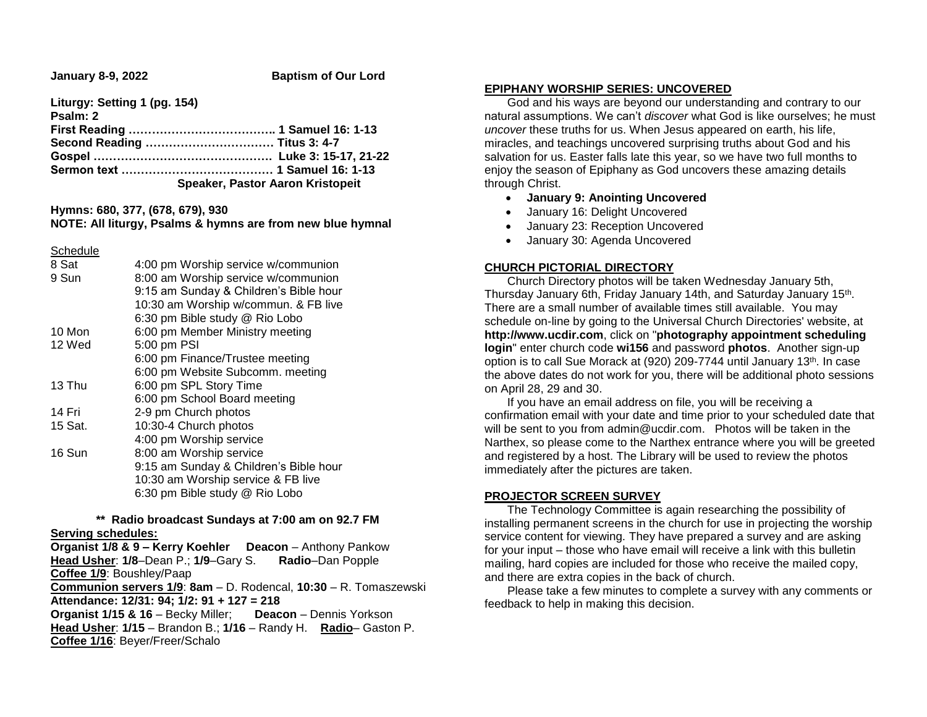**January 8-9, 2022 Baptism of Our Lord** 

**Liturgy: Setting 1 (pg. 154) Psalm: 2 First Reading ……………………………….. 1 Samuel 16: 1-13 Second Reading …………………………… Titus 3: 4-7 Gospel ………………………………………. Luke 3: 15-17, 21-22 Sermon text ………………………………… 1 Samuel 16: 1-13 Speaker, Pastor Aaron Kristopeit**

**Hymns: 680, 377, (678, 679), 930**

# **NOTE: All liturgy, Psalms & hymns are from new blue hymnal**

**Schedule** 

| 8 Sat   | 4:00 pm Worship service w/communion    |  |  |
|---------|----------------------------------------|--|--|
| 9 Sun   | 8:00 am Worship service w/communion    |  |  |
|         | 9:15 am Sunday & Children's Bible hour |  |  |
|         | 10:30 am Worship w/commun. & FB live   |  |  |
|         | 6:30 pm Bible study @ Rio Lobo         |  |  |
| 10 Mon  | 6:00 pm Member Ministry meeting        |  |  |
| 12 Wed  | 5:00 pm PSI                            |  |  |
|         | 6:00 pm Finance/Trustee meeting        |  |  |
|         | 6:00 pm Website Subcomm. meeting       |  |  |
| 13 Thu  | 6:00 pm SPL Story Time                 |  |  |
|         | 6:00 pm School Board meeting           |  |  |
| 14 Fri  | 2-9 pm Church photos                   |  |  |
| 15 Sat. | 10:30-4 Church photos                  |  |  |
|         | 4:00 pm Worship service                |  |  |
| 16 Sun  | 8:00 am Worship service                |  |  |
|         | 9:15 am Sunday & Children's Bible hour |  |  |
|         | 10:30 am Worship service & FB live     |  |  |
|         | 6:30 pm Bible study @ Rio Lobo         |  |  |
|         |                                        |  |  |

# **\*\* Radio broadcast Sundays at 7:00 am on 92.7 FM Serving schedules:**

**Organist 1/8 & 9 – Kerry Koehler Deacon** – Anthony Pankow **Head Usher**: **1/8**–Dean P.; **1/9**–Gary S. **Radio**–Dan Popple **Coffee 1/9**: Boushley/Paap **Communion servers 1/9**: **8am** – D. Rodencal, **10:30** – R. Tomaszewski **Attendance: 12/31: 94; 1/2: 91 + 127 = 218 Organist 1/15 & 16** – Becky Miller; **Deacon** – Dennis Yorkson **Head Usher**: **1/15** – Brandon B.; **1/16** – Randy H. **Radio**– Gaston P. **Coffee 1/16**: Beyer/Freer/Schalo

#### **EPIPHANY WORSHIP SERIES: UNCOVERED**

 God and his ways are beyond our understanding and contrary to our natural assumptions. We can't *discover* what God is like ourselves; he must *uncover* these truths for us. When Jesus appeared on earth, his life, miracles, and teachings uncovered surprising truths about God and his salvation for us. Easter falls late this year, so we have two full months to enjoy the season of Epiphany as God uncovers these amazing details through Christ.

#### **January 9: Anointing Uncovered**

- January 16: Delight Uncovered
- January 23: Reception Uncovered
- January 30: Agenda Uncovered

# **CHURCH PICTORIAL DIRECTORY**

 Church Directory photos will be taken Wednesday January 5th, Thursday January 6th, Friday January 14th, and Saturday January 15<sup>th</sup>. There are a small number of available times still available. You may schedule on-line by going to the Universal Church Directories' website, at **http://www.ucdir.com**, click on "**photography appointment scheduling login**" enter church code **wi156** and password **photos**. Another sign-up option is to call Sue Morack at (920) 209-7744 until January 13<sup>th</sup>. In case the above dates do not work for you, there will be additional photo sessions on April 28, 29 and 30.

 If you have an email address on file, you will be receiving a confirmation email with your date and time prior to your scheduled date that will be sent to you from admin@ucdir.com. Photos will be taken in the Narthex, so please come to the Narthex entrance where you will be greeted and registered by a host. The Library will be used to review the photos immediately after the pictures are taken.

#### **PROJECTOR SCREEN SURVEY**

 The Technology Committee is again researching the possibility of installing permanent screens in the church for use in projecting the worship service content for viewing. They have prepared a survey and are asking for your input – those who have email will receive a link with this bulletin mailing, hard copies are included for those who receive the mailed copy, and there are extra copies in the back of church.

 Please take a few minutes to complete a survey with any comments or feedback to help in making this decision.